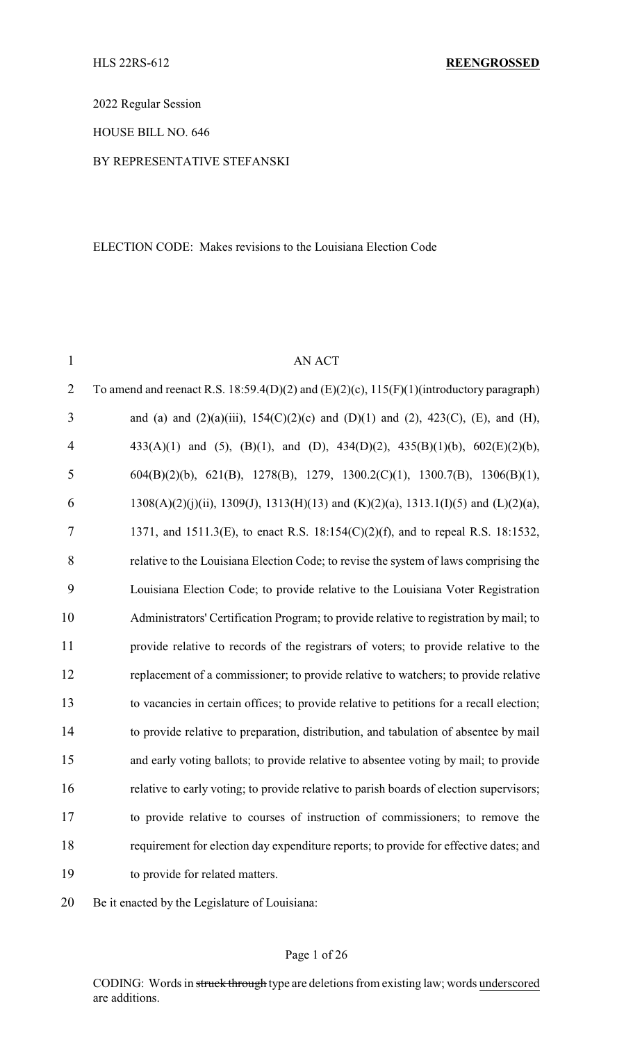2022 Regular Session

HOUSE BILL NO. 646

BY REPRESENTATIVE STEFANSKI

#### ELECTION CODE: Makes revisions to the Louisiana Election Code

| $\mathbf{1}$   | <b>AN ACT</b>                                                                                      |
|----------------|----------------------------------------------------------------------------------------------------|
| $\overline{2}$ | To amend and reenact R.S. 18:59.4(D)(2) and (E)(2)(c), $115(F)(1)$ (introductory paragraph)        |
| 3              | and (a) and (2)(a)(iii), 154(C)(2)(c) and (D)(1) and (2), 423(C), (E), and (H),                    |
| $\overline{4}$ | 433(A)(1) and (5), (B)(1), and (D), 434(D)(2), 435(B)(1)(b), $602(E)(2)(b)$ ,                      |
| 5              | $604(B)(2)(b)$ , 621(B), 1278(B), 1279, 1300.2(C)(1), 1300.7(B), 1306(B)(1),                       |
| 6              | $1308(A)(2)(j)(ii)$ , $1309(J)$ , $1313(H)(13)$ and $(K)(2)(a)$ , $1313.1(I)(5)$ and $(L)(2)(a)$ , |
| $\tau$         | 1371, and 1511.3(E), to enact R.S. 18:154(C)(2)(f), and to repeal R.S. 18:1532,                    |
| 8              | relative to the Louisiana Election Code; to revise the system of laws comprising the               |
| 9              | Louisiana Election Code; to provide relative to the Louisiana Voter Registration                   |
| 10             | Administrators' Certification Program; to provide relative to registration by mail; to             |
| 11             | provide relative to records of the registrars of voters; to provide relative to the                |
| 12             | replacement of a commissioner; to provide relative to watchers; to provide relative                |
| 13             | to vacancies in certain offices; to provide relative to petitions for a recall election;           |
| 14             | to provide relative to preparation, distribution, and tabulation of absentee by mail               |
| 15             | and early voting ballots; to provide relative to absentee voting by mail; to provide               |
| 16             | relative to early voting; to provide relative to parish boards of election supervisors;            |
| 17             | to provide relative to courses of instruction of commissioners; to remove the                      |
| 18             | requirement for election day expenditure reports; to provide for effective dates; and              |
| 19             | to provide for related matters.                                                                    |
|                |                                                                                                    |

20 Be it enacted by the Legislature of Louisiana: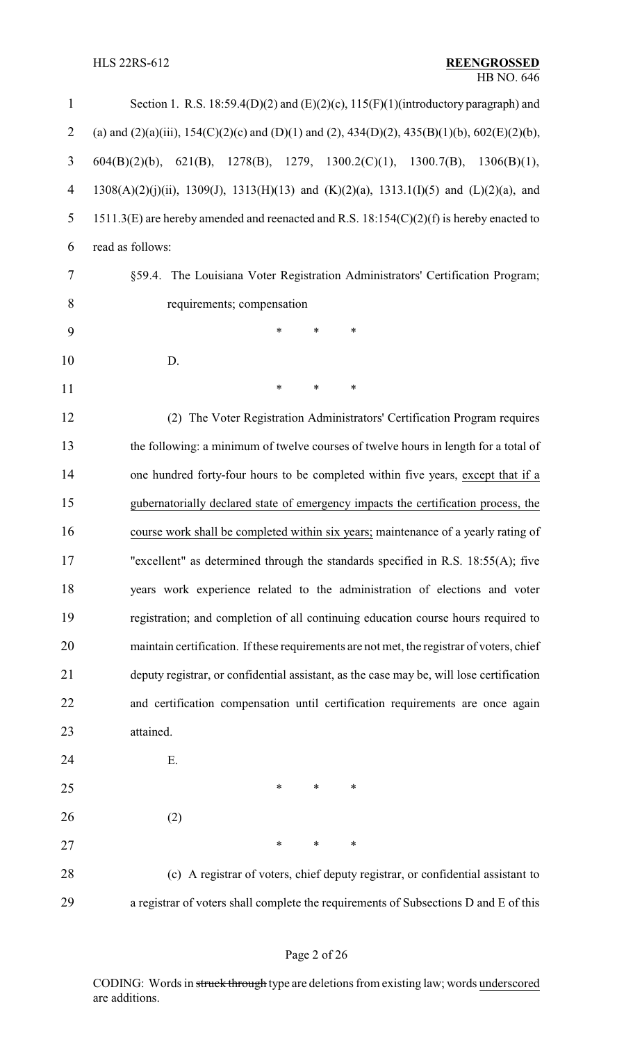| $\mathbf{1}$   | Section 1. R.S. 18:59.4(D)(2) and (E)(2)(c), $115(F)(1)$ (introductory paragraph) and        |
|----------------|----------------------------------------------------------------------------------------------|
| $\overline{2}$ | (a) and (2)(a)(iii), 154(C)(2)(c) and (D)(1) and (2), 434(D)(2), 435(B)(1)(b), 602(E)(2)(b), |
| 3              | 621(B), 1278(B), 1279, 1300.2(C)(1), 1300.7(B),<br>$604(B)(2)(b)$ ,<br>1306(B)(1),           |
| 4              | 1308(A)(2)(j)(ii), 1309(J), 1313(H)(13) and (K)(2)(a), 1313.1(I)(5) and (L)(2)(a), and       |
| 5              | 1511.3(E) are hereby amended and reenacted and R.S. 18:154(C)(2)(f) is hereby enacted to     |
| 6              | read as follows:                                                                             |
| 7              | §59.4. The Louisiana Voter Registration Administrators' Certification Program;               |
| 8              | requirements; compensation                                                                   |
| 9              | $\ast$<br>*<br>*                                                                             |
| 10             | D.                                                                                           |
| 11             | $\ast$<br>*<br>*                                                                             |
| 12             | (2) The Voter Registration Administrators' Certification Program requires                    |
| 13             | the following: a minimum of twelve courses of twelve hours in length for a total of          |
| 14             | one hundred forty-four hours to be completed within five years, except that if a             |
| 15             | gubernatorially declared state of emergency impacts the certification process, the           |
| 16             | course work shall be completed within six years; maintenance of a yearly rating of           |
| 17             | "excellent" as determined through the standards specified in R.S. $18:55(A)$ ; five          |
| 18             | years work experience related to the administration of elections and voter                   |
| 19             | registration; and completion of all continuing education course hours required to            |
| 20             | maintain certification. If these requirements are not met, the registrar of voters, chief    |
| 21             | deputy registrar, or confidential assistant, as the case may be, will lose certification     |
| 22             | and certification compensation until certification requirements are once again               |
| 23             | attained.                                                                                    |
| 24             | Ε.                                                                                           |
| 25             | *<br>*<br>∗                                                                                  |
| 26             | (2)                                                                                          |
| 27             | ∗<br>∗<br>∗                                                                                  |
| 28             | (c) A registrar of voters, chief deputy registrar, or confidential assistant to              |
| 29             | a registrar of voters shall complete the requirements of Subsections D and E of this         |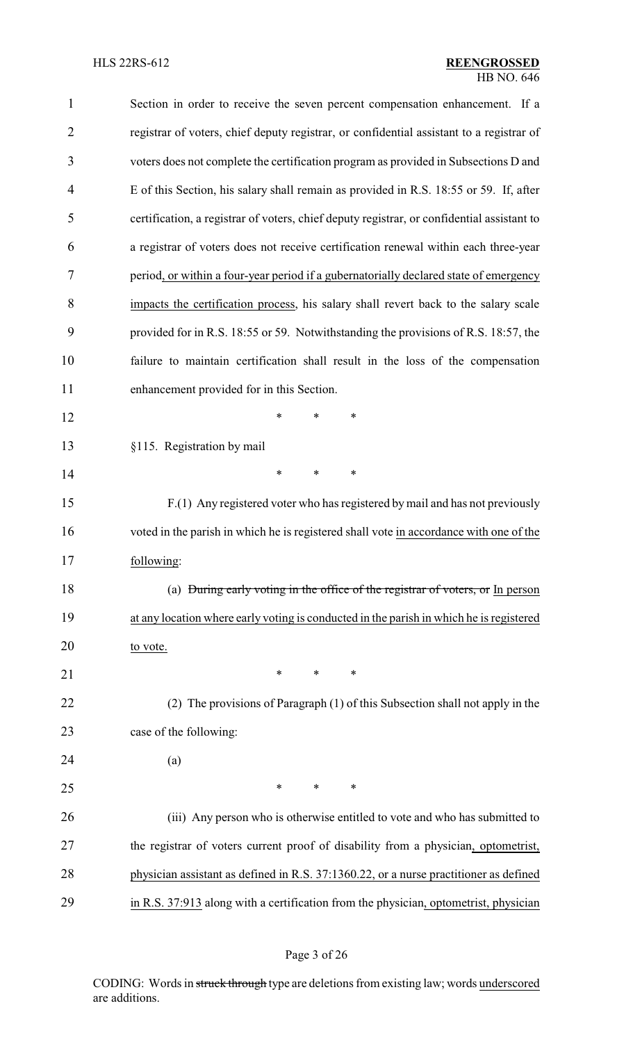| $\mathbf{1}$   | Section in order to receive the seven percent compensation enhancement. If a               |
|----------------|--------------------------------------------------------------------------------------------|
| $\overline{2}$ | registrar of voters, chief deputy registrar, or confidential assistant to a registrar of   |
| 3              | voters does not complete the certification program as provided in Subsections D and        |
| $\overline{4}$ | E of this Section, his salary shall remain as provided in R.S. 18:55 or 59. If, after      |
| 5              | certification, a registrar of voters, chief deputy registrar, or confidential assistant to |
| 6              | a registrar of voters does not receive certification renewal within each three-year        |
| 7              | period, or within a four-year period if a gubernatorially declared state of emergency      |
| 8              | impacts the certification process, his salary shall revert back to the salary scale        |
| 9              | provided for in R.S. 18:55 or 59. Notwithstanding the provisions of R.S. 18:57, the        |
| 10             | failure to maintain certification shall result in the loss of the compensation             |
| 11             | enhancement provided for in this Section.                                                  |
| 12             | ∗<br>*<br>∗                                                                                |
| 13             | §115. Registration by mail                                                                 |
| 14             | ∗<br>∗<br>∗                                                                                |
| 15             | F.(1) Any registered voter who has registered by mail and has not previously               |
| 16             | voted in the parish in which he is registered shall vote in accordance with one of the     |
| 17             | following:                                                                                 |
| 18             | (a) During early voting in the office of the registrar of voters, or In person             |
| 19             | at any location where early voting is conducted in the parish in which he is registered    |
| 20             | to vote.                                                                                   |
| 21             | ∗<br>*<br>∗                                                                                |
| 22             | (2) The provisions of Paragraph (1) of this Subsection shall not apply in the              |
| 23             | case of the following:                                                                     |
| 24             | (a)                                                                                        |
| 25             | *<br>*<br>∗                                                                                |
| 26             | (iii) Any person who is otherwise entitled to vote and who has submitted to                |
| 27             | the registrar of voters current proof of disability from a physician, optometrist,         |
| 28             | physician assistant as defined in R.S. 37:1360.22, or a nurse practitioner as defined      |
| 29             | in R.S. 37:913 along with a certification from the physician, optometrist, physician       |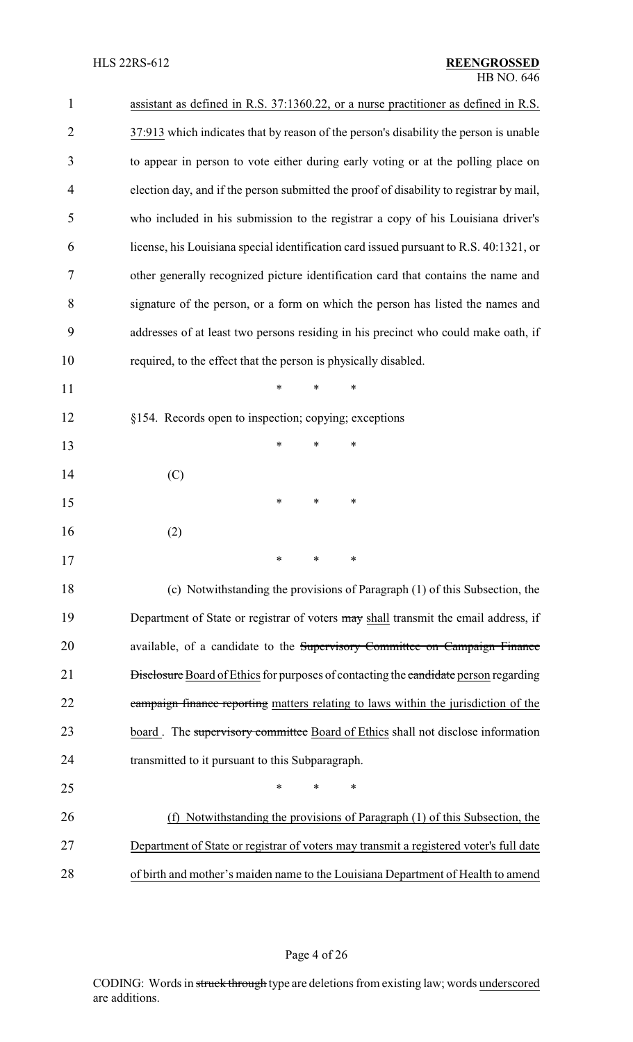| $\mathbf{1}$   | assistant as defined in R.S. 37:1360.22, or a nurse practitioner as defined in R.S.         |
|----------------|---------------------------------------------------------------------------------------------|
| $\overline{2}$ | 37:913 which indicates that by reason of the person's disability the person is unable       |
| 3              | to appear in person to vote either during early voting or at the polling place on           |
| 4              | election day, and if the person submitted the proof of disability to registrar by mail,     |
| 5              | who included in his submission to the registrar a copy of his Louisiana driver's            |
| 6              | license, his Louisiana special identification card issued pursuant to R.S. 40:1321, or      |
| 7              | other generally recognized picture identification card that contains the name and           |
| 8              | signature of the person, or a form on which the person has listed the names and             |
| 9              | addresses of at least two persons residing in his precinct who could make oath, if          |
| 10             | required, to the effect that the person is physically disabled.                             |
| 11             | $\ast$<br>$\ast$<br>$\ast$                                                                  |
| 12             | §154. Records open to inspection; copying; exceptions                                       |
| 13             | ∗<br>$\ast$<br>∗                                                                            |
| 14             | (C)                                                                                         |
| 15             | ∗<br>*<br>∗                                                                                 |
| 16             | (2)                                                                                         |
| 17             | $\ast$<br>$\ast$<br>$\ast$                                                                  |
| 18             | (c) Notwithstanding the provisions of Paragraph (1) of this Subsection, the                 |
| 19             | Department of State or registrar of voters may shall transmit the email address, if         |
| 20             | available, of a candidate to the Supervisory Committee on Campaign Finance                  |
| 21             | <b>Disclosure</b> Board of Ethics for purposes of contacting the candidate person regarding |
| 22             | campaign finance reporting matters relating to laws within the jurisdiction of the          |
| 23             | board. The supervisory committee Board of Ethics shall not disclose information             |
| 24             | transmitted to it pursuant to this Subparagraph.                                            |
| 25             | $\ast$<br>*<br>∗                                                                            |
| 26             | Notwithstanding the provisions of Paragraph (1) of this Subsection, the<br>(f)              |
| 27             | Department of State or registrar of voters may transmit a registered voter's full date      |
| 28             | of birth and mother's maiden name to the Louisiana Department of Health to amend            |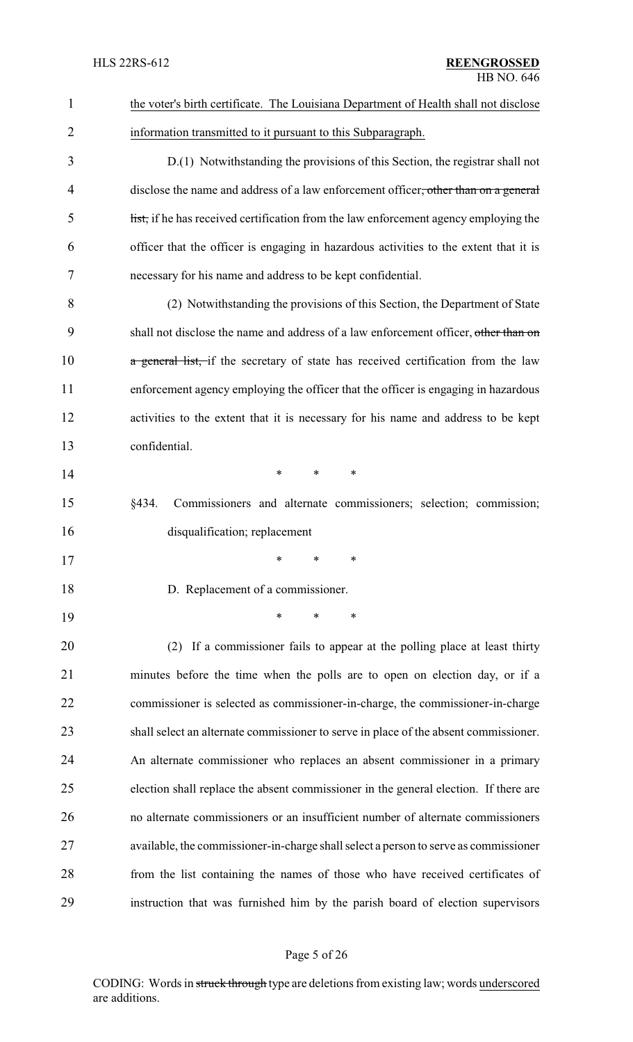| $\mathbf{1}$ | the voter's birth certificate. The Louisiana Department of Health shall not disclose  |
|--------------|---------------------------------------------------------------------------------------|
| 2            | information transmitted to it pursuant to this Subparagraph.                          |
| 3            | D.(1) Notwithstanding the provisions of this Section, the registrar shall not         |
| 4            | disclose the name and address of a law enforcement officer, other than on a general   |
| 5            | list, if he has received certification from the law enforcement agency employing the  |
| 6            | officer that the officer is engaging in hazardous activities to the extent that it is |
| 7            | necessary for his name and address to be kept confidential.                           |
| 8            | (2) Notwithstanding the provisions of this Section, the Department of State           |
| 9            | shall not disclose the name and address of a law enforcement officer, other than on   |
| 10           | a general list, if the secretary of state has received certification from the law     |
| 11           | enforcement agency employing the officer that the officer is engaging in hazardous    |
| 12           | activities to the extent that it is necessary for his name and address to be kept     |
| 13           | confidential.                                                                         |
| 14           | *<br>*<br>*                                                                           |
| 15           | §434.<br>Commissioners and alternate commissioners; selection; commission;            |
| 16           | disqualification; replacement                                                         |
| 17           | *<br>*<br>∗                                                                           |
| 18           | D. Replacement of a commissioner.                                                     |
| 19           | *<br>*<br>*                                                                           |
| 20           | (2) If a commissioner fails to appear at the polling place at least thirty            |
| 21           | minutes before the time when the polls are to open on election day, or if a           |
| 22           | commissioner is selected as commissioner-in-charge, the commissioner-in-charge        |
| 23           | shall select an alternate commissioner to serve in place of the absent commissioner.  |
| 24           | An alternate commissioner who replaces an absent commissioner in a primary            |
| 25           | election shall replace the absent commissioner in the general election. If there are  |
| 26           | no alternate commissioners or an insufficient number of alternate commissioners       |
| 27           | available, the commissioner-in-charge shall select a person to serve as commissioner  |
| 28           | from the list containing the names of those who have received certificates of         |
| 29           | instruction that was furnished him by the parish board of election supervisors        |

# Page 5 of 26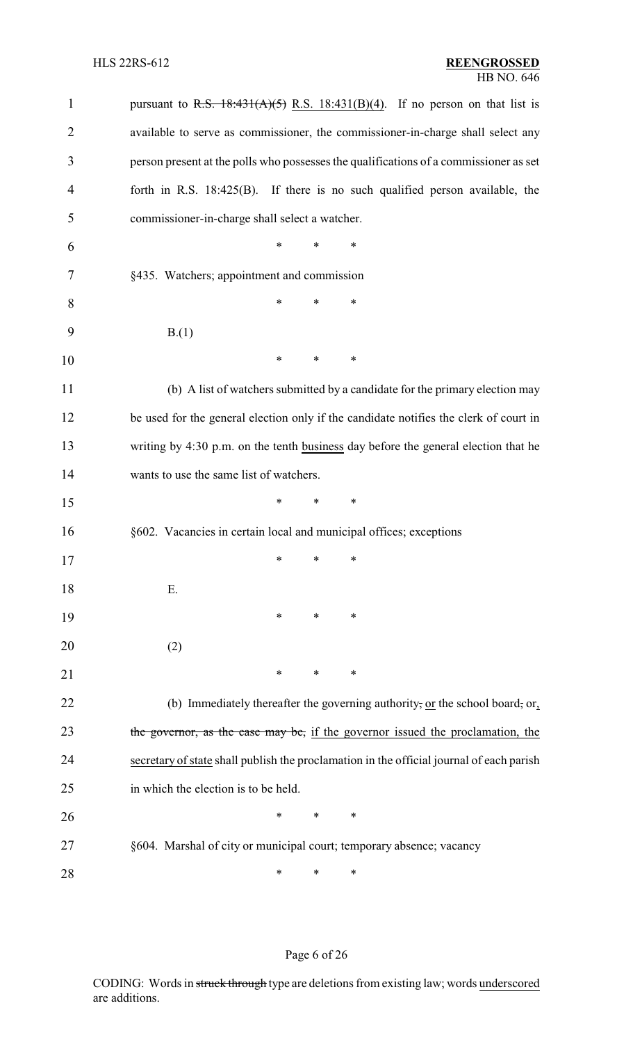| $\mathbf{1}$ | pursuant to R.S. $18:431(A)(5)$ R.S. $18:431(B)(4)$ . If no person on that list is       |
|--------------|------------------------------------------------------------------------------------------|
| 2            | available to serve as commissioner, the commissioner-in-charge shall select any          |
| 3            | person present at the polls who possesses the qualifications of a commissioner as set    |
| 4            | forth in R.S. $18:425(B)$ . If there is no such qualified person available, the          |
| 5            | commissioner-in-charge shall select a watcher.                                           |
| 6            | *<br>∗<br>∗                                                                              |
| 7            | §435. Watchers; appointment and commission                                               |
| 8            | ∗<br>*<br>*                                                                              |
| 9            | B(1)                                                                                     |
| 10           | *<br>*<br>∗                                                                              |
| 11           | (b) A list of watchers submitted by a candidate for the primary election may             |
| 12           | be used for the general election only if the candidate notifies the clerk of court in    |
| 13           | writing by 4:30 p.m. on the tenth business day before the general election that he       |
| 14           | wants to use the same list of watchers.                                                  |
| 15           | *<br>*<br>∗                                                                              |
| 16           | §602. Vacancies in certain local and municipal offices; exceptions                       |
| 17           | $\ast$ $\ast$<br>∗                                                                       |
| 18           | Ε.                                                                                       |
| 19           | ∗<br>$\ast$<br>∗                                                                         |
| 20           | (2)                                                                                      |
| 21           | ∗<br>∗<br>∗                                                                              |
| 22           | (b) Immediately thereafter the governing authority, or the school board, or,             |
| 23           | the governor, as the case may be, if the governor issued the proclamation, the           |
| 24           | secretary of state shall publish the proclamation in the official journal of each parish |
| 25           | in which the election is to be held.                                                     |
| 26           | ∗<br>*<br>∗                                                                              |
| 27           | §604. Marshal of city or municipal court; temporary absence; vacancy                     |
| 28           | *<br>∗<br>∗                                                                              |

# Page 6 of 26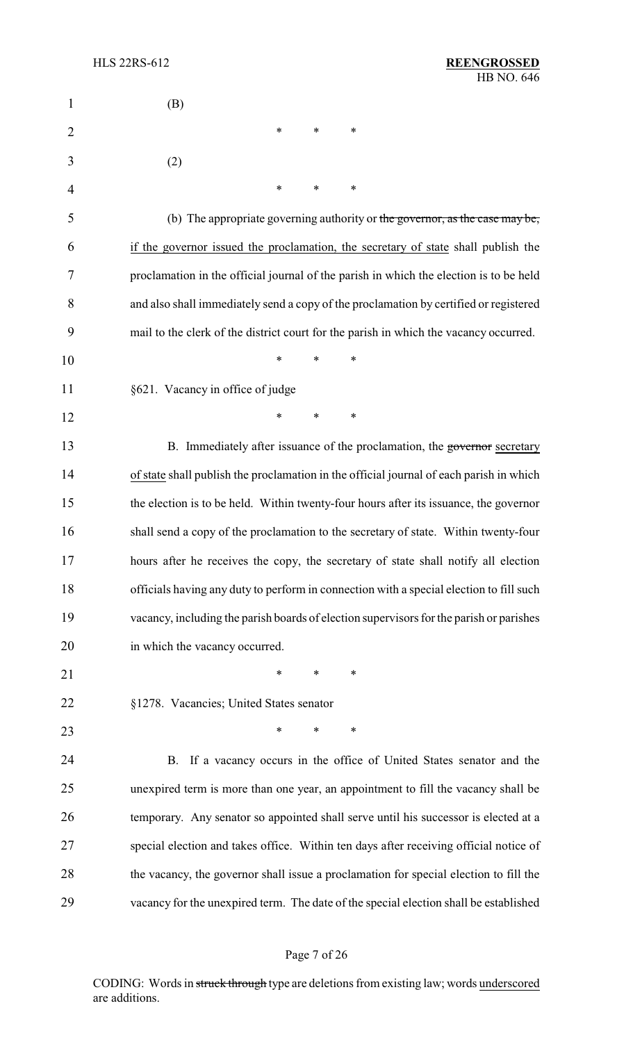| $\mathbf{1}$   | (B)                                                                                     |
|----------------|-----------------------------------------------------------------------------------------|
| $\overline{2}$ | $\ast$<br>$\ast$<br>∗                                                                   |
| 3              | (2)                                                                                     |
| 4              | ∗<br>∗<br>∗                                                                             |
| 5              | (b) The appropriate governing authority or the governor, as the case may be,            |
| 6              | if the governor issued the proclamation, the secretary of state shall publish the       |
| 7              | proclamation in the official journal of the parish in which the election is to be held  |
| 8              | and also shall immediately send a copy of the proclamation by certified or registered   |
| 9              | mail to the clerk of the district court for the parish in which the vacancy occurred.   |
| 10             | ∗<br>*<br>*                                                                             |
| 11             | §621. Vacancy in office of judge                                                        |
| 12             | $\ast$<br>$\ast$<br>$\ast$                                                              |
| 13             | B. Immediately after issuance of the proclamation, the governor secretary               |
| 14             | of state shall publish the proclamation in the official journal of each parish in which |
| 15             | the election is to be held. Within twenty-four hours after its issuance, the governor   |
| 16             | shall send a copy of the proclamation to the secretary of state. Within twenty-four     |
| 17             | hours after he receives the copy, the secretary of state shall notify all election      |
| 18             | officials having any duty to perform in connection with a special election to fill such |
| 19             | vacancy, including the parish boards of election supervisors for the parish or parishes |
| 20             | in which the vacancy occurred.                                                          |
| 21             | $\ast$<br>∗<br>∗                                                                        |
| 22             | §1278. Vacancies; United States senator                                                 |
| 23             | *<br>*<br>∗                                                                             |
| 24             | B. If a vacancy occurs in the office of United States senator and the                   |
| 25             | unexpired term is more than one year, an appointment to fill the vacancy shall be       |
| 26             | temporary. Any senator so appointed shall serve until his successor is elected at a     |
| 27             | special election and takes office. Within ten days after receiving official notice of   |
| 28             | the vacancy, the governor shall issue a proclamation for special election to fill the   |
| 29             | vacancy for the unexpired term. The date of the special election shall be established   |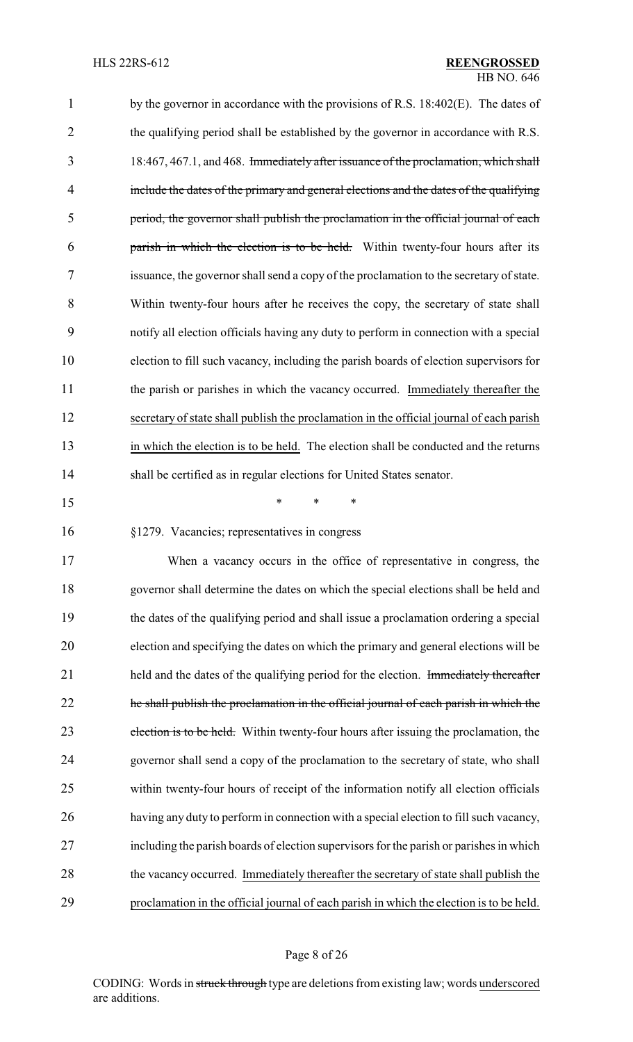| $\mathbf{1}$   | by the governor in accordance with the provisions of R.S. 18:402(E). The dates of        |
|----------------|------------------------------------------------------------------------------------------|
| $\overline{2}$ | the qualifying period shall be established by the governor in accordance with R.S.       |
| 3              | 18:467, 467.1, and 468. Immediately after issuance of the proclamation, which shall      |
| 4              | include the dates of the primary and general elections and the dates of the qualifying   |
| 5              | period, the governor shall publish the proclamation in the official journal of each      |
| 6              | parish in which the election is to be held. Within twenty-four hours after its           |
| 7              | issuance, the governor shall send a copy of the proclamation to the secretary of state.  |
| 8              | Within twenty-four hours after he receives the copy, the secretary of state shall        |
| 9              | notify all election officials having any duty to perform in connection with a special    |
| 10             | election to fill such vacancy, including the parish boards of election supervisors for   |
| 11             | the parish or parishes in which the vacancy occurred. Immediately thereafter the         |
| 12             | secretary of state shall publish the proclamation in the official journal of each parish |
| 13             | in which the election is to be held. The election shall be conducted and the returns     |
| 14             | shall be certified as in regular elections for United States senator.                    |
| 15             | ∗<br>*<br>∗                                                                              |
| 16             | §1279. Vacancies; representatives in congress                                            |
| 17             | When a vacancy occurs in the office of representative in congress, the                   |
| 18             | governor shall determine the dates on which the special elections shall be held and      |
| 19             | the dates of the qualifying period and shall issue a proclamation ordering a special     |
| 20             | election and specifying the dates on which the primary and general elections will be     |
| 21             | held and the dates of the qualifying period for the election. Immediately thereafter     |
| 22             | the shall publish the proclamation in the official journal of each parish in which the   |
| 23             | election is to be held. Within twenty-four hours after issuing the proclamation, the     |
| 24             | governor shall send a copy of the proclamation to the secretary of state, who shall      |
| 25             | within twenty-four hours of receipt of the information notify all election officials     |
| 26             | having any duty to perform in connection with a special election to fill such vacancy,   |
| 27             | including the parish boards of election supervisors for the parish or parishes in which  |
| 28             | the vacancy occurred. Immediately thereafter the secretary of state shall publish the    |
| 29             | proclamation in the official journal of each parish in which the election is to be held. |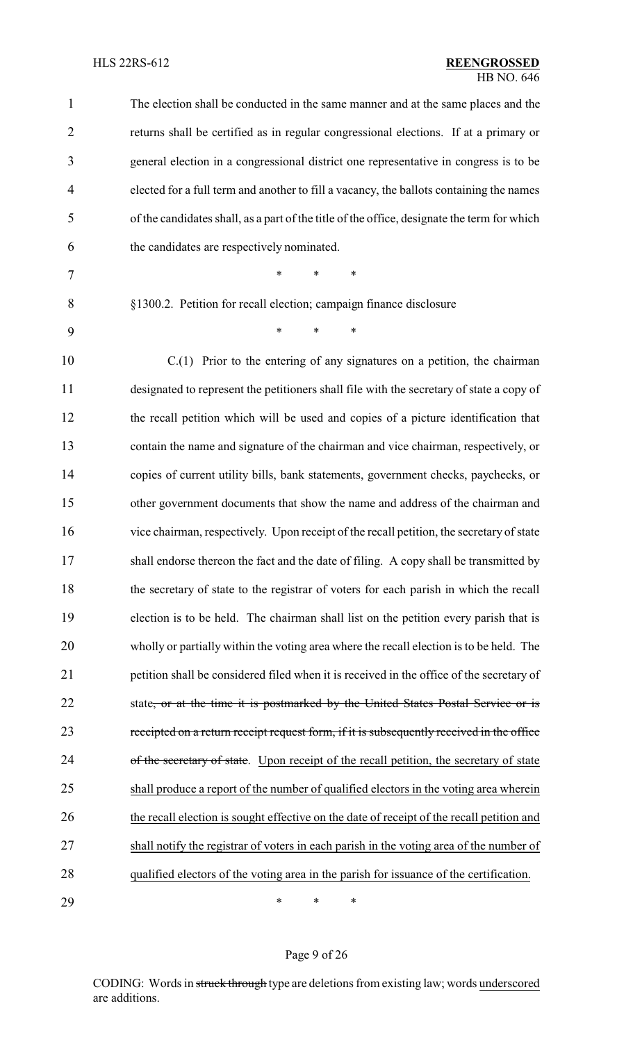| 1              | The election shall be conducted in the same manner and at the same places and the           |
|----------------|---------------------------------------------------------------------------------------------|
| $\overline{2}$ | returns shall be certified as in regular congressional elections. If at a primary or        |
| 3              | general election in a congressional district one representative in congress is to be        |
| $\overline{4}$ | elected for a full term and another to fill a vacancy, the ballots containing the names     |
| 5              | of the candidates shall, as a part of the title of the office, designate the term for which |
| 6              | the candidates are respectively nominated.                                                  |
| 7              | *<br>*<br>∗                                                                                 |
| 8              | §1300.2. Petition for recall election; campaign finance disclosure                          |
| 9              | *<br>$\ast$<br>∗                                                                            |
| 10             | $C(1)$ Prior to the entering of any signatures on a petition, the chairman                  |
| 11             | designated to represent the petitioners shall file with the secretary of state a copy of    |
| 12             | the recall petition which will be used and copies of a picture identification that          |
| 13             | contain the name and signature of the chairman and vice chairman, respectively, or          |
| 14             | copies of current utility bills, bank statements, government checks, paychecks, or          |
| 15             | other government documents that show the name and address of the chairman and               |
| 16             | vice chairman, respectively. Upon receipt of the recall petition, the secretary of state    |
| 17             | shall endorse thereon the fact and the date of filing. A copy shall be transmitted by       |
| 18             | the secretary of state to the registrar of voters for each parish in which the recall       |
| 19             | election is to be held. The chairman shall list on the petition every parish that is        |
| 20             | wholly or partially within the voting area where the recall election is to be held. The     |
| 21             | petition shall be considered filed when it is received in the office of the secretary of    |
| 22             | state, or at the time it is postmarked by the United States Postal Service or is            |
| 23             | receipted on a return receipt request form, if it is subsequently received in the office    |
| 24             | of the secretary of state. Upon receipt of the recall petition, the secretary of state      |
| 25             | shall produce a report of the number of qualified electors in the voting area wherein       |
| 26             | the recall election is sought effective on the date of receipt of the recall petition and   |
| 27             | shall notify the registrar of voters in each parish in the voting area of the number of     |
| 28             | qualified electors of the voting area in the parish for issuance of the certification.      |
| 29             | ∗<br>$\ast$<br>∗                                                                            |

Page 9 of 26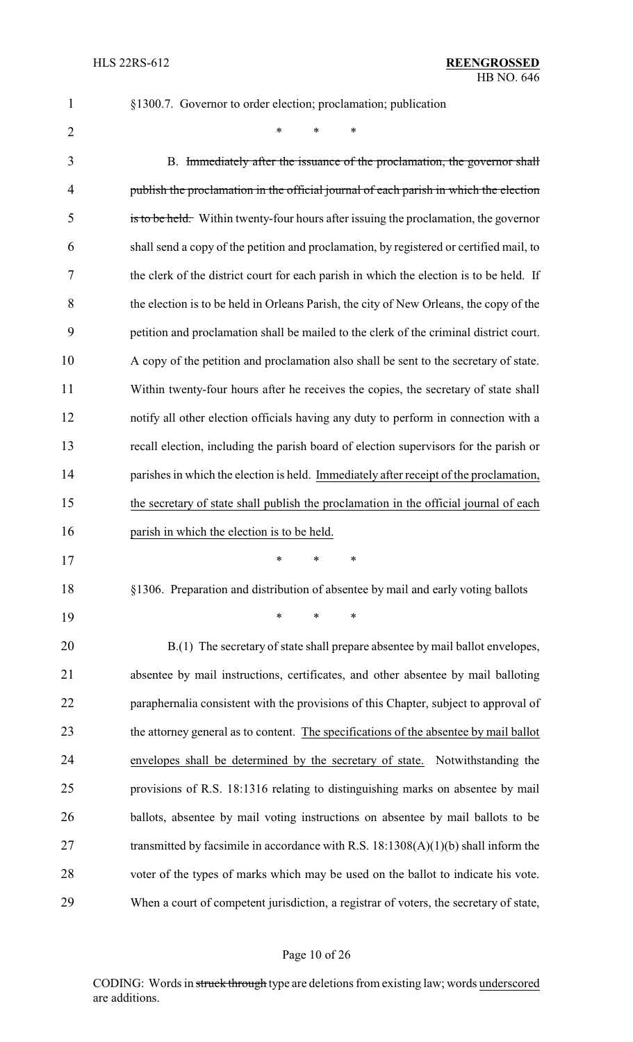§1300.7. Governor to order election; proclamation; publication

 $*$  \* \* \*

 B. Immediately after the issuance of the proclamation, the governor shall publish the proclamation in the official journal of each parish in which the election is to be held. Within twenty-four hours after issuing the proclamation, the governor shall send a copy of the petition and proclamation, by registered or certified mail, to the clerk of the district court for each parish in which the election is to be held. If the election is to be held in Orleans Parish, the city of New Orleans, the copy of the petition and proclamation shall be mailed to the clerk of the criminal district court. A copy of the petition and proclamation also shall be sent to the secretary of state. Within twenty-four hours after he receives the copies, the secretary of state shall notify all other election officials having any duty to perform in connection with a recall election, including the parish board of election supervisors for the parish or parishes in which the election is held. Immediately after receipt of the proclamation, the secretary of state shall publish the proclamation in the official journal of each parish in which the election is to be held. \* \* \*

§1306. Preparation and distribution of absentee by mail and early voting ballots

\* \* \*

 B.(1) The secretary of state shall prepare absentee by mail ballot envelopes, absentee by mail instructions, certificates, and other absentee by mail balloting 22 paraphernalia consistent with the provisions of this Chapter, subject to approval of 23 the attorney general as to content. The specifications of the absentee by mail ballot envelopes shall be determined by the secretary of state. Notwithstanding the provisions of R.S. 18:1316 relating to distinguishing marks on absentee by mail ballots, absentee by mail voting instructions on absentee by mail ballots to be 27 transmitted by facsimile in accordance with R.S. 18:1308(A)(1)(b) shall inform the voter of the types of marks which may be used on the ballot to indicate his vote. When a court of competent jurisdiction, a registrar of voters, the secretary of state,

#### Page 10 of 26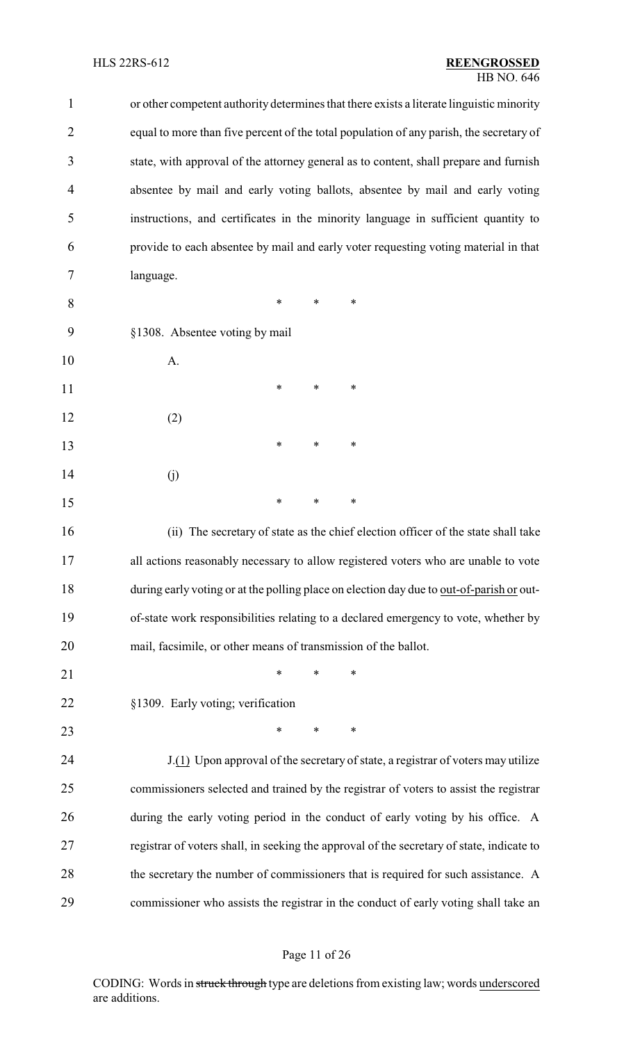| $\mathbf{1}$   | or other competent authority determines that there exists a literate linguistic minority  |
|----------------|-------------------------------------------------------------------------------------------|
| $\overline{2}$ | equal to more than five percent of the total population of any parish, the secretary of   |
| 3              | state, with approval of the attorney general as to content, shall prepare and furnish     |
| 4              | absentee by mail and early voting ballots, absentee by mail and early voting              |
| 5              | instructions, and certificates in the minority language in sufficient quantity to         |
| 6              | provide to each absentee by mail and early voter requesting voting material in that       |
| 7              | language.                                                                                 |
| 8              | ∗<br>*<br>$\ast$                                                                          |
| 9              | §1308. Absentee voting by mail                                                            |
| 10             | A.                                                                                        |
| 11             | *<br>*<br>∗                                                                               |
| 12             | (2)                                                                                       |
| 13             | ∗<br>∗<br>∗                                                                               |
| 14             | (j)                                                                                       |
| 15             | $\ast$<br>∗<br>*                                                                          |
| 16             | (ii) The secretary of state as the chief election officer of the state shall take         |
| 17             | all actions reasonably necessary to allow registered voters who are unable to vote        |
| 18             | during early voting or at the polling place on election day due to out-of-parish or out-  |
| 19             | of-state work responsibilities relating to a declared emergency to vote, whether by       |
| 20             | mail, facsimile, or other means of transmission of the ballot.                            |
| 21             | *<br>*<br>∗                                                                               |
| 22             | §1309. Early voting; verification                                                         |
| 23             | ∗<br>$\ast$<br>∗                                                                          |
| 24             | J.(1) Upon approval of the secretary of state, a registrar of voters may utilize          |
| 25             | commissioners selected and trained by the registrar of voters to assist the registrar     |
| 26             | during the early voting period in the conduct of early voting by his office. A            |
| 27             | registrar of voters shall, in seeking the approval of the secretary of state, indicate to |
| 28             | the secretary the number of commissioners that is required for such assistance. A         |
| 29             | commissioner who assists the registrar in the conduct of early voting shall take an       |

# Page 11 of 26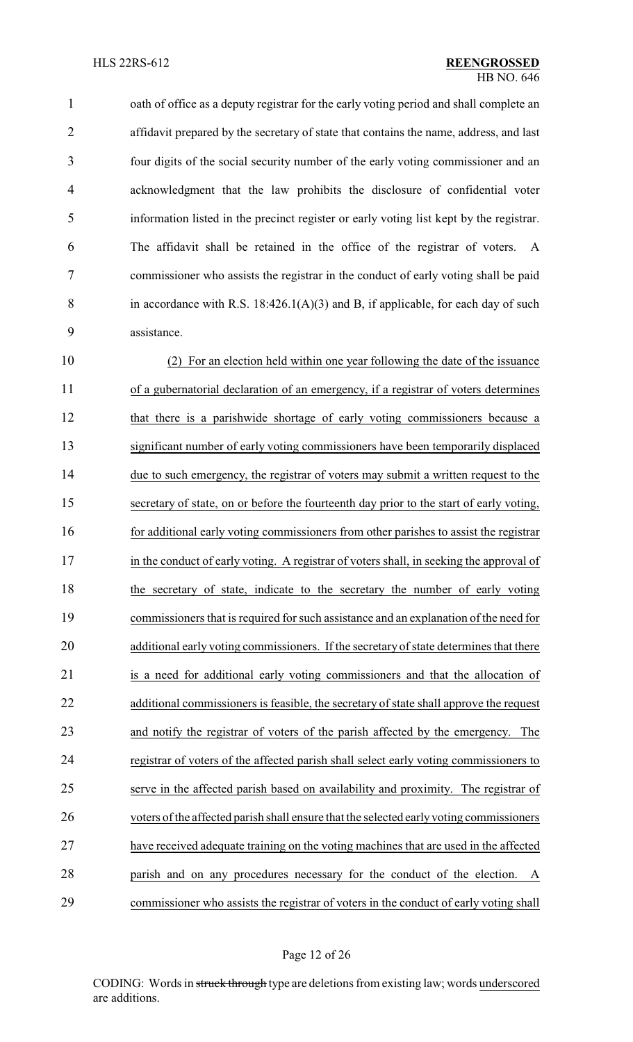1 oath of office as a deputy registrar for the early voting period and shall complete an affidavit prepared by the secretary of state that contains the name, address, and last four digits of the social security number of the early voting commissioner and an acknowledgment that the law prohibits the disclosure of confidential voter information listed in the precinct register or early voting list kept by the registrar. The affidavit shall be retained in the office of the registrar of voters. A commissioner who assists the registrar in the conduct of early voting shall be paid 8 in accordance with R.S.  $18:426.1(A)(3)$  and B, if applicable, for each day of such assistance.

 (2) For an election held within one year following the date of the issuance of a gubernatorial declaration of an emergency, if a registrar of voters determines that there is a parishwide shortage of early voting commissioners because a significant number of early voting commissioners have been temporarily displaced due to such emergency, the registrar of voters may submit a written request to the secretary of state, on or before the fourteenth day prior to the start of early voting, 16 for additional early voting commissioners from other parishes to assist the registrar 17 in the conduct of early voting. A registrar of voters shall, in seeking the approval of 18 the secretary of state, indicate to the secretary the number of early voting commissioners that is required for such assistance and an explanation of the need for additional early voting commissioners. If the secretary of state determines that there is a need for additional early voting commissioners and that the allocation of additional commissioners is feasible, the secretary of state shall approve the request and notify the registrar of voters of the parish affected by the emergency. The registrar of voters of the affected parish shall select early voting commissioners to serve in the affected parish based on availability and proximity. The registrar of voters of the affected parish shall ensure that the selected earlyvoting commissioners have received adequate training on the voting machines that are used in the affected parish and on any procedures necessary for the conduct of the election. A commissioner who assists the registrar of voters in the conduct of early voting shall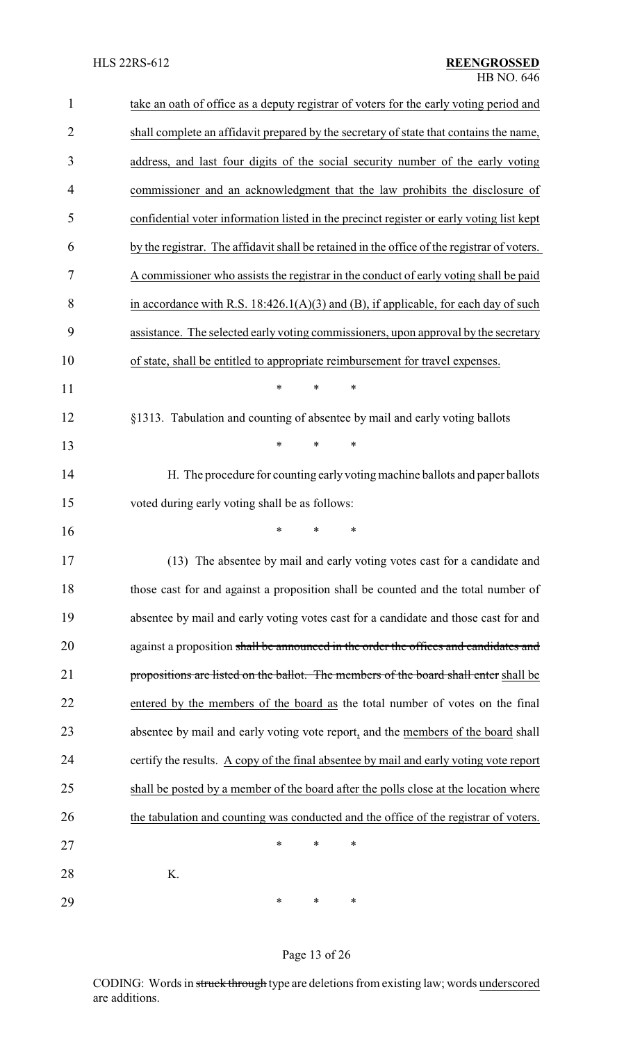| $\mathbf{1}$   | take an oath of office as a deputy registrar of voters for the early voting period and      |
|----------------|---------------------------------------------------------------------------------------------|
| $\overline{2}$ | shall complete an affidavit prepared by the secretary of state that contains the name,      |
| 3              | address, and last four digits of the social security number of the early voting             |
| 4              | commissioner and an acknowledgment that the law prohibits the disclosure of                 |
| 5              | confidential voter information listed in the precinct register or early voting list kept    |
| 6              | by the registrar. The affidavit shall be retained in the office of the registrar of voters. |
| 7              | A commissioner who assists the registrar in the conduct of early voting shall be paid       |
| 8              | in accordance with R.S. $18:426.1(A)(3)$ and (B), if applicable, for each day of such       |
| 9              | assistance. The selected early voting commissioners, upon approval by the secretary         |
| 10             | of state, shall be entitled to appropriate reimbursement for travel expenses.               |
| 11             | $\ast$<br>*<br>$\ast$                                                                       |
| 12             | §1313. Tabulation and counting of absentee by mail and early voting ballots                 |
| 13             | $\ast$<br>*<br>*                                                                            |
| 14             | H. The procedure for counting early voting machine ballots and paper ballots                |
| 15             | voted during early voting shall be as follows:                                              |
| 16             | *<br>∗                                                                                      |
| 17             | (13) The absentee by mail and early voting votes cast for a candidate and                   |
| 18             | those cast for and against a proposition shall be counted and the total number of           |
| 19             | absentee by mail and early voting votes cast for a candidate and those cast for and         |
| 20             | against a proposition shall be announced in the order the offices and candidates and        |
| 21             | propositions are listed on the ballot. The members of the board shall enter shall be        |
| 22             | entered by the members of the board as the total number of votes on the final               |
| 23             | absentee by mail and early voting vote report, and the members of the board shall           |
| 24             | certify the results. A copy of the final absentee by mail and early voting vote report      |
| 25             | shall be posted by a member of the board after the polls close at the location where        |
| 26             | the tabulation and counting was conducted and the office of the registrar of voters.        |
| 27             | $\ast$<br>*<br>*                                                                            |
| 28             | K.                                                                                          |
| 29             | ∗<br>∗<br>∗                                                                                 |

# Page 13 of 26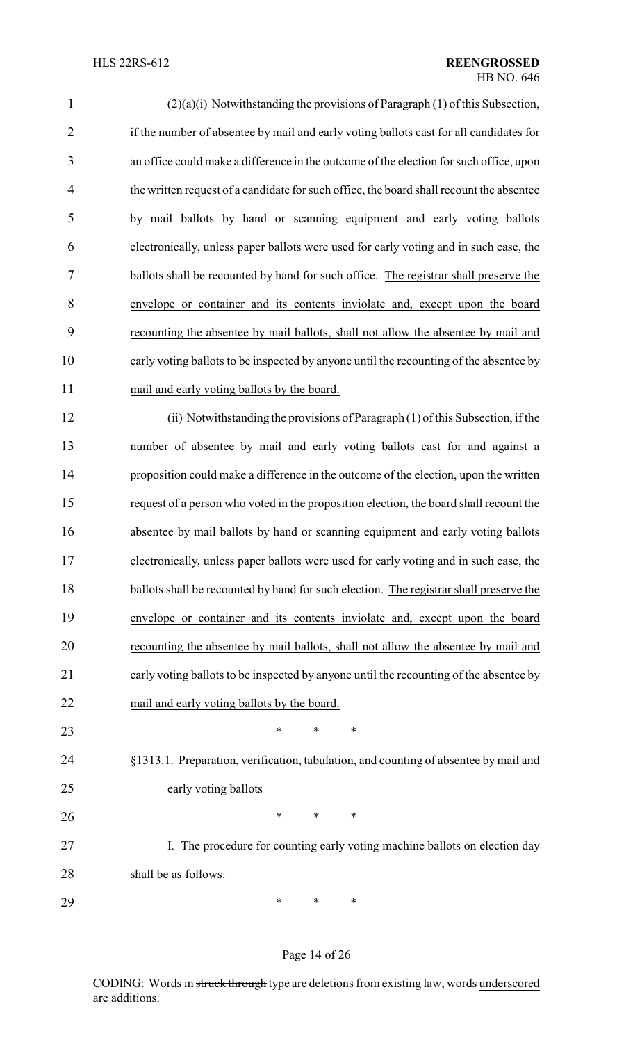| $\mathbf{1}$   | $(2)(a)(i)$ Notwithstanding the provisions of Paragraph $(1)$ of this Subsection,        |
|----------------|------------------------------------------------------------------------------------------|
| $\overline{2}$ | if the number of absentee by mail and early voting ballots cast for all candidates for   |
| 3              | an office could make a difference in the outcome of the election for such office, upon   |
| $\overline{4}$ | the written request of a candidate for such office, the board shall recount the absentee |
| 5              | by mail ballots by hand or scanning equipment and early voting ballots                   |
| 6              | electronically, unless paper ballots were used for early voting and in such case, the    |
| $\overline{7}$ | ballots shall be recounted by hand for such office. The registrar shall preserve the     |
| 8              | envelope or container and its contents inviolate and, except upon the board              |
| 9              | recounting the absentee by mail ballots, shall not allow the absentee by mail and        |
| 10             | early voting ballots to be inspected by anyone until the recounting of the absentee by   |
| 11             | mail and early voting ballots by the board.                                              |
| 12             | (ii) Notwithstanding the provisions of Paragraph (1) of this Subsection, if the          |
| 13             | number of absentee by mail and early voting ballots cast for and against a               |
| 14             | proposition could make a difference in the outcome of the election, upon the written     |
| 15             | request of a person who voted in the proposition election, the board shall recount the   |
| 16             | absentee by mail ballots by hand or scanning equipment and early voting ballots          |
| 17             | electronically, unless paper ballots were used for early voting and in such case, the    |
| 18             | ballots shall be recounted by hand for such election. The registrar shall preserve the   |
| 19             | envelope or container and its contents inviolate and, except upon the board              |
| 20             | recounting the absentee by mail ballots, shall not allow the absentee by mail and        |
| 21             | early voting ballots to be inspected by anyone until the recounting of the absentee by   |
| 22             | mail and early voting ballots by the board.                                              |
| 23             | $\ast$<br>∗<br>∗                                                                         |
| 24             | §1313.1. Preparation, verification, tabulation, and counting of absentee by mail and     |
| 25             | early voting ballots                                                                     |
| 26             | $\ast$<br>$\ast$<br>∗                                                                    |
| 27             | I. The procedure for counting early voting machine ballots on election day               |
| 28             | shall be as follows:                                                                     |
| 29             | $\ast$<br>∗<br>∗                                                                         |

# Page 14 of 26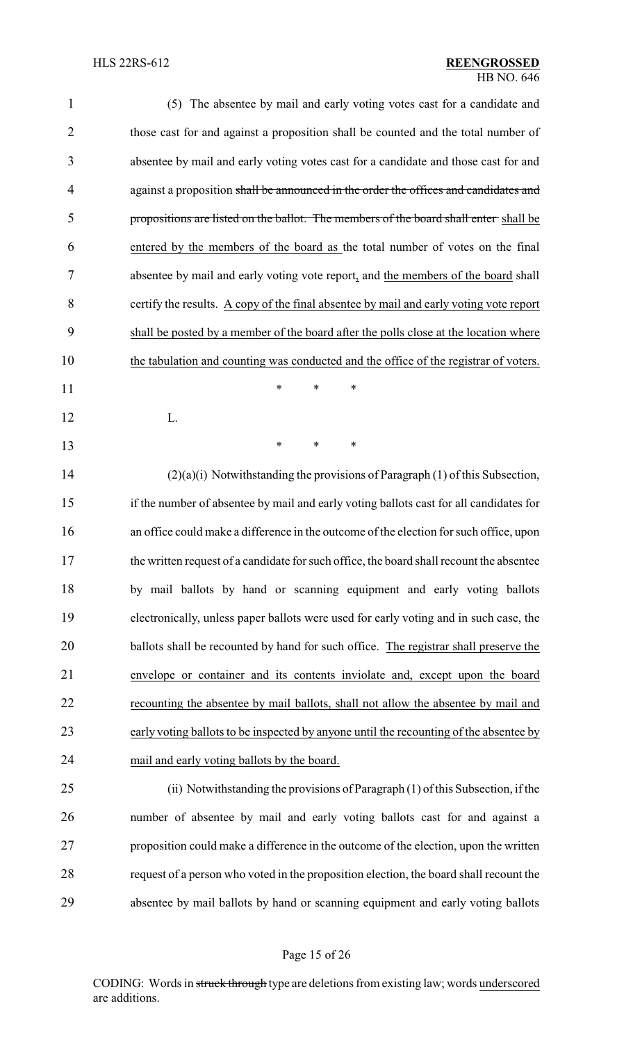| $\mathbf{1}$   | (5) The absentee by mail and early voting votes cast for a candidate and                 |
|----------------|------------------------------------------------------------------------------------------|
| $\overline{2}$ | those cast for and against a proposition shall be counted and the total number of        |
| 3              | absentee by mail and early voting votes cast for a candidate and those cast for and      |
| $\overline{4}$ | against a proposition shall be announced in the order the offices and candidates and     |
| 5              | propositions are listed on the ballot. The members of the board shall enter-shall be     |
| 6              | entered by the members of the board as the total number of votes on the final            |
| 7              | absentee by mail and early voting vote report, and the members of the board shall        |
| 8              | certify the results. A copy of the final absentee by mail and early voting vote report   |
| 9              | shall be posted by a member of the board after the polls close at the location where     |
| 10             | the tabulation and counting was conducted and the office of the registrar of voters.     |
| 11             | $\ast$<br>$\ast$<br>*                                                                    |
| 12             | L.                                                                                       |
| 13             | $\ast$<br>∗<br>∗                                                                         |
| 14             | (2)(a)(i) Notwithstanding the provisions of Paragraph (1) of this Subsection,            |
| 15             | if the number of absentee by mail and early voting ballots cast for all candidates for   |
| 16             | an office could make a difference in the outcome of the election for such office, upon   |
| 17             | the written request of a candidate for such office, the board shall recount the absentee |
| 18             | by mail ballots by hand or scanning equipment and early voting ballots                   |
| 19             | electronically, unless paper ballots were used for early voting and in such case, the    |
| 20             | ballots shall be recounted by hand for such office. The registrar shall preserve the     |
| 21             | envelope or container and its contents inviolate and, except upon the board              |
| 22             | recounting the absentee by mail ballots, shall not allow the absentee by mail and        |
| 23             | early voting ballots to be inspected by anyone until the recounting of the absentee by   |
| 24             | mail and early voting ballots by the board.                                              |
| 25             | (ii) Notwithstanding the provisions of Paragraph (1) of this Subsection, if the          |
| 26             | number of absentee by mail and early voting ballots cast for and against a               |
| 27             | proposition could make a difference in the outcome of the election, upon the written     |
| 28             | request of a person who voted in the proposition election, the board shall recount the   |
| 29             | absentee by mail ballots by hand or scanning equipment and early voting ballots          |
|                |                                                                                          |

# Page 15 of 26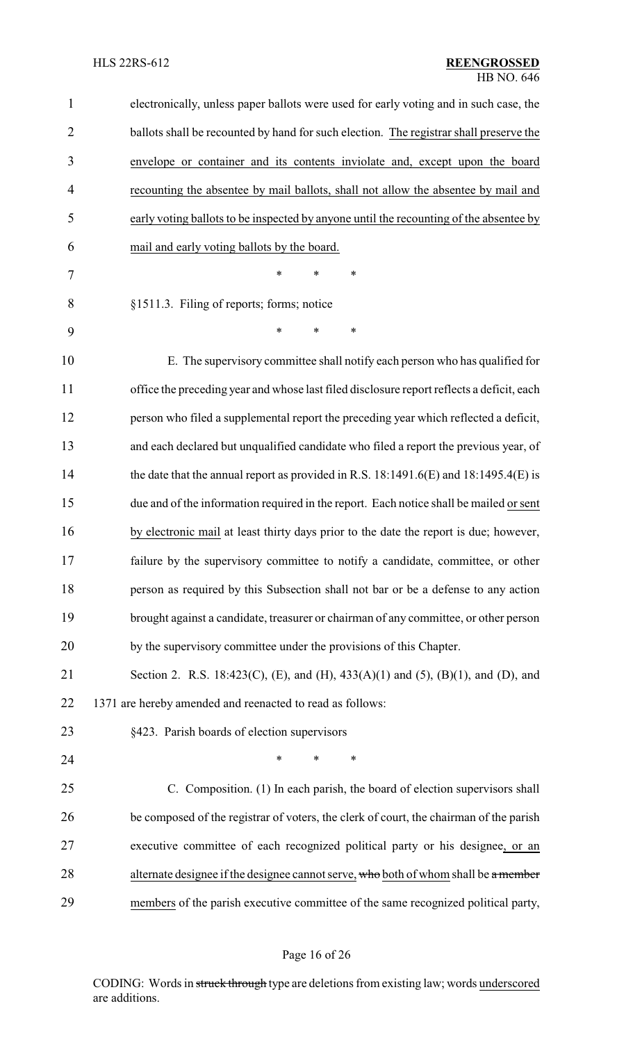| $\mathbf{1}$   | electronically, unless paper ballots were used for early voting and in such case, the     |  |  |
|----------------|-------------------------------------------------------------------------------------------|--|--|
| $\overline{2}$ | ballots shall be recounted by hand for such election. The registrar shall preserve the    |  |  |
| 3              | envelope or container and its contents inviolate and, except upon the board               |  |  |
| 4              | recounting the absentee by mail ballots, shall not allow the absentee by mail and         |  |  |
| 5              | early voting ballots to be inspected by anyone until the recounting of the absentee by    |  |  |
| 6              | mail and early voting ballots by the board.                                               |  |  |
| 7              | *<br>*<br>∗                                                                               |  |  |
| 8              | §1511.3. Filing of reports; forms; notice                                                 |  |  |
| 9              | $\ast$<br>*<br>∗                                                                          |  |  |
| 10             | E. The supervisory committee shall notify each person who has qualified for               |  |  |
| 11             | office the preceding year and whose last filed disclosure report reflects a deficit, each |  |  |
| 12             | person who filed a supplemental report the preceding year which reflected a deficit,      |  |  |
| 13             | and each declared but unqualified candidate who filed a report the previous year, of      |  |  |
| 14             | the date that the annual report as provided in R.S. 18:1491.6(E) and $18:1495.4(E)$ is    |  |  |
| 15             | due and of the information required in the report. Each notice shall be mailed or sent    |  |  |
| 16             | by electronic mail at least thirty days prior to the date the report is due; however,     |  |  |
| 17             | failure by the supervisory committee to notify a candidate, committee, or other           |  |  |
| 18             | person as required by this Subsection shall not bar or be a defense to any action         |  |  |
| 19             | brought against a candidate, treasurer or chairman of any committee, or other person      |  |  |
| 20             | by the supervisory committee under the provisions of this Chapter.                        |  |  |
| 21             | Section 2. R.S. 18:423(C), (E), and (H), 433(A)(1) and (5), (B)(1), and (D), and          |  |  |
| 22             | 1371 are hereby amended and reenacted to read as follows:                                 |  |  |
| 23             | §423. Parish boards of election supervisors                                               |  |  |
| 24             | ∗<br>*<br>*                                                                               |  |  |
| 25             | C. Composition. (1) In each parish, the board of election supervisors shall               |  |  |
| 26             | be composed of the registrar of voters, the clerk of court, the chairman of the parish    |  |  |
| 27             | executive committee of each recognized political party or his designee, or an             |  |  |
| 28             | alternate designee if the designee cannot serve, who both of whom shall be a member       |  |  |
| 29             | members of the parish executive committee of the same recognized political party,         |  |  |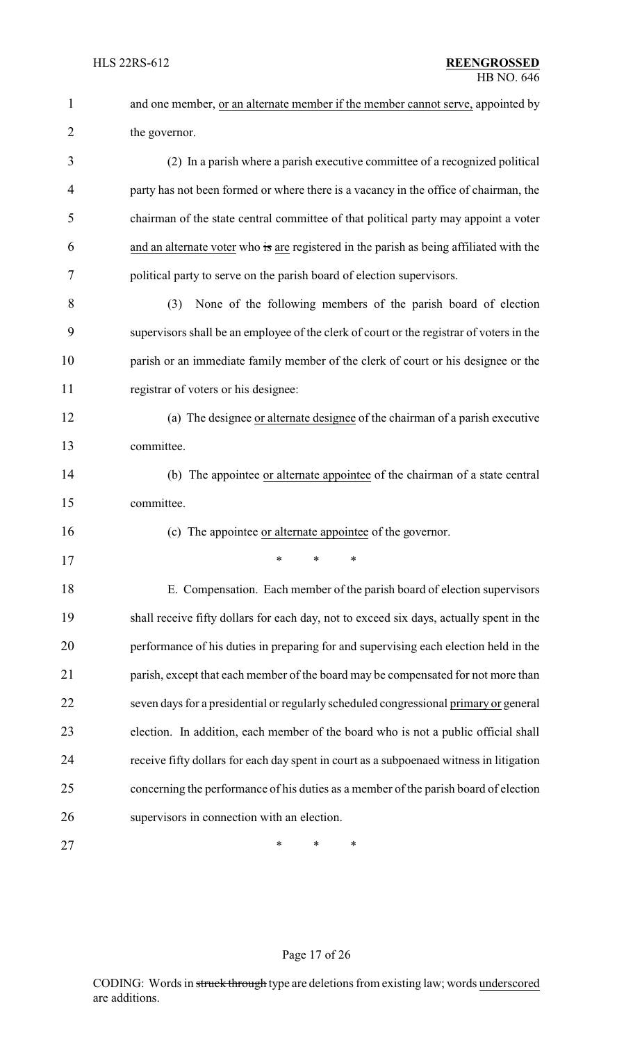| $\mathbf{1}$   | and one member, or an alternate member if the member cannot serve, appointed by          |
|----------------|------------------------------------------------------------------------------------------|
| $\overline{2}$ | the governor.                                                                            |
| 3              | (2) In a parish where a parish executive committee of a recognized political             |
| $\overline{4}$ | party has not been formed or where there is a vacancy in the office of chairman, the     |
| 5              | chairman of the state central committee of that political party may appoint a voter      |
| 6              | and an alternate voter who is are registered in the parish as being affiliated with the  |
| 7              | political party to serve on the parish board of election supervisors.                    |
| 8              | None of the following members of the parish board of election<br>(3)                     |
| 9              | supervisors shall be an employee of the clerk of court or the registrar of voters in the |
| 10             | parish or an immediate family member of the clerk of court or his designee or the        |
| 11             | registrar of voters or his designee:                                                     |
| 12             | (a) The designee or alternate designee of the chairman of a parish executive             |
| 13             | committee.                                                                               |
| 14             | (b) The appointee or alternate appointee of the chairman of a state central              |
| 15             | committee.                                                                               |
| 16             | (c) The appointee or alternate appointee of the governor.                                |
| 17             | ∗<br>∗<br>∗                                                                              |
| 18             | E. Compensation. Each member of the parish board of election supervisors                 |
| 19             | shall receive fifty dollars for each day, not to exceed six days, actually spent in the  |
| 20             | performance of his duties in preparing for and supervising each election held in the     |
| 21             | parish, except that each member of the board may be compensated for not more than        |
| 22             | seven days for a presidential or regularly scheduled congressional primary or general    |
| 23             | election. In addition, each member of the board who is not a public official shall       |
| 24             | receive fifty dollars for each day spent in court as a subpoenaed witness in litigation  |
| 25             | concerning the performance of his duties as a member of the parish board of election     |
| 26             | supervisors in connection with an election.                                              |
| 27             | ∗<br>∗<br>∗                                                                              |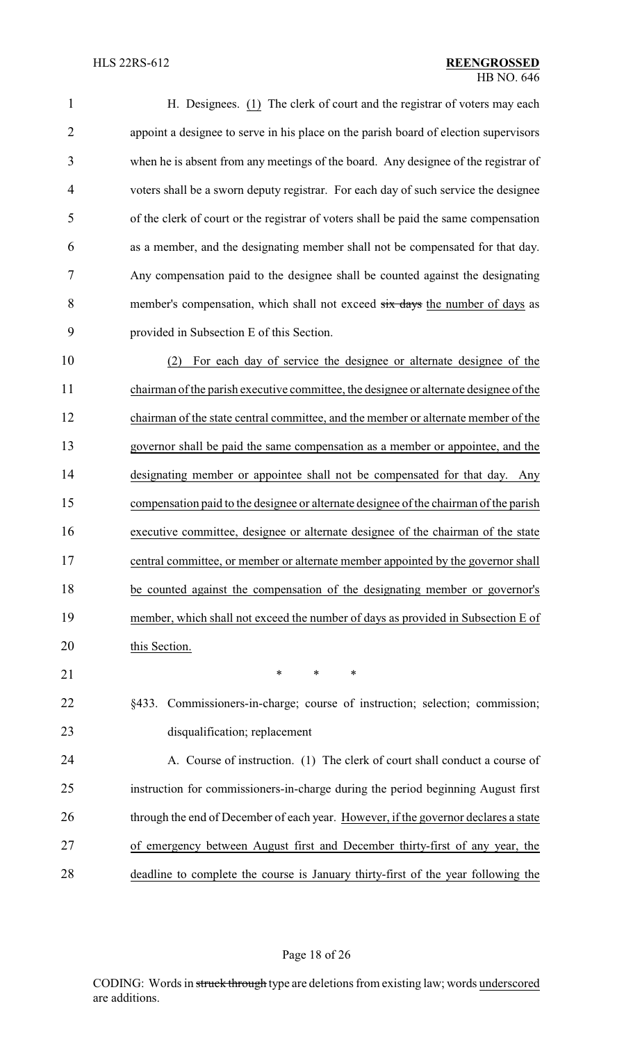| 1              | H. Designees. $(1)$ The clerk of court and the registrar of voters may each           |
|----------------|---------------------------------------------------------------------------------------|
| $\overline{2}$ | appoint a designee to serve in his place on the parish board of election supervisors  |
| 3              | when he is absent from any meetings of the board. Any designee of the registrar of    |
| 4              | voters shall be a sworn deputy registrar. For each day of such service the designee   |
| 5              | of the clerk of court or the registrar of voters shall be paid the same compensation  |
| 6              | as a member, and the designating member shall not be compensated for that day.        |
| 7              | Any compensation paid to the designee shall be counted against the designating        |
| 8              | member's compensation, which shall not exceed six days the number of days as          |
| 9              | provided in Subsection E of this Section.                                             |
| 10             | For each day of service the designee or alternate designee of the<br>(2)              |
| 11             | chairman of the parish executive committee, the designee or alternate designee of the |
| 12             | chairman of the state central committee, and the member or alternate member of the    |
| 13             | governor shall be paid the same compensation as a member or appointee, and the        |
| 14             | designating member or appointee shall not be compensated for that day. Any            |
| 15             | compensation paid to the designee or alternate designee of the chairman of the parish |
| 16             | executive committee, designee or alternate designee of the chairman of the state      |
| 17             | central committee, or member or alternate member appointed by the governor shall      |
| 18             | be counted against the compensation of the designating member or governor's           |
| 19             | member, which shall not exceed the number of days as provided in Subsection E of      |
| 20             | this Section.                                                                         |
| 21             | *<br>$\ast$<br>$\ast$                                                                 |
| 22             | Commissioners-in-charge; course of instruction; selection; commission;<br>§433.       |
| 23             | disqualification; replacement                                                         |
| 24             | A. Course of instruction. (1) The clerk of court shall conduct a course of            |

 instruction for commissioners-in-charge during the period beginning August first 26 through the end of December of each year. However, if the governor declares a state of emergency between August first and December thirty-first of any year, the deadline to complete the course is January thirty-first of the year following the

Page 18 of 26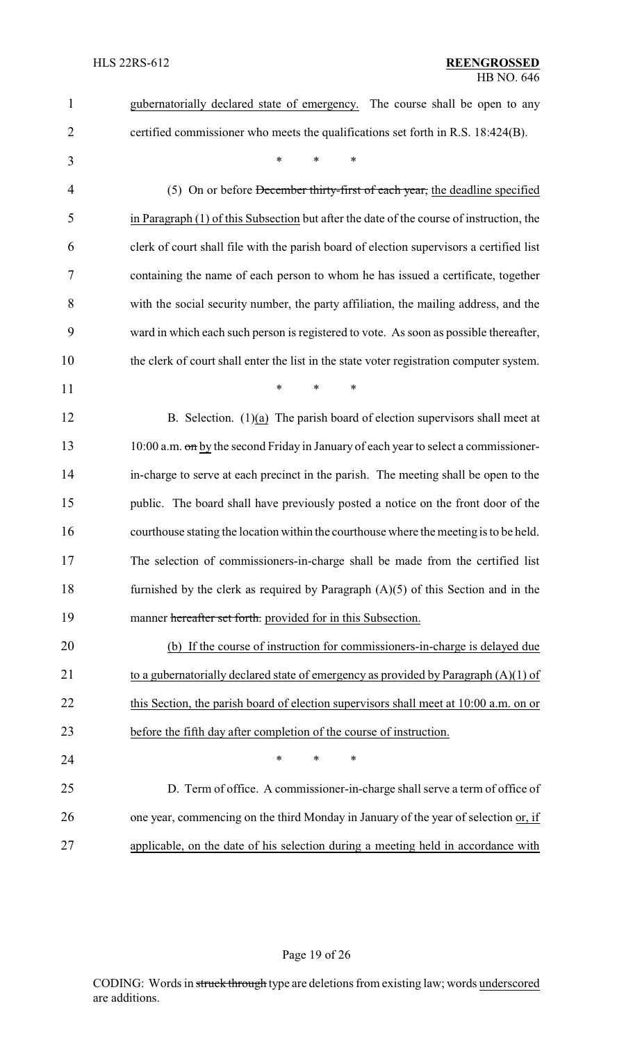| $\mathbf{1}$   | gubernatorially declared state of emergency. The course shall be open to any             |
|----------------|------------------------------------------------------------------------------------------|
| $\overline{2}$ | certified commissioner who meets the qualifications set forth in R.S. 18:424(B).         |
| 3              | $\ast$<br>$\ast$<br>*                                                                    |
| $\overline{4}$ | (5) On or before <del>December thirty-first of each year,</del> the deadline specified   |
| 5              | in Paragraph (1) of this Subsection but after the date of the course of instruction, the |
| 6              | clerk of court shall file with the parish board of election supervisors a certified list |
| 7              | containing the name of each person to whom he has issued a certificate, together         |
| 8              | with the social security number, the party affiliation, the mailing address, and the     |
| 9              | ward in which each such person is registered to vote. As soon as possible thereafter,    |
| 10             | the clerk of court shall enter the list in the state voter registration computer system. |
| 11             | *<br>$\ast$<br>*                                                                         |
| 12             | B. Selection. $(1)(a)$ The parish board of election supervisors shall meet at            |
| 13             | 10:00 a.m. on by the second Friday in January of each year to select a commissioner-     |
| 14             | in-charge to serve at each precinct in the parish. The meeting shall be open to the      |
| 15             | public. The board shall have previously posted a notice on the front door of the         |
| 16             | courthouse stating the location within the courthouse where the meeting is to be held.   |
| 17             | The selection of commissioners-in-charge shall be made from the certified list           |
| 18             | furnished by the clerk as required by Paragraph $(A)(5)$ of this Section and in the      |
| 19             | manner hereafter set forth. provided for in this Subsection.                             |
| 20             | (b) If the course of instruction for commissioners-in-charge is delayed due              |
| 21             | to a gubernatorially declared state of emergency as provided by Paragraph $(A)(1)$ of    |
| 22             | this Section, the parish board of election supervisors shall meet at 10:00 a.m. on or    |
| 23             | before the fifth day after completion of the course of instruction.                      |
| 24             | *<br>*<br>∗                                                                              |
| 25             | D. Term of office. A commissioner-in-charge shall serve a term of office of              |
| 26             | one year, commencing on the third Monday in January of the year of selection or, if      |
| 27             | applicable, on the date of his selection during a meeting held in accordance with        |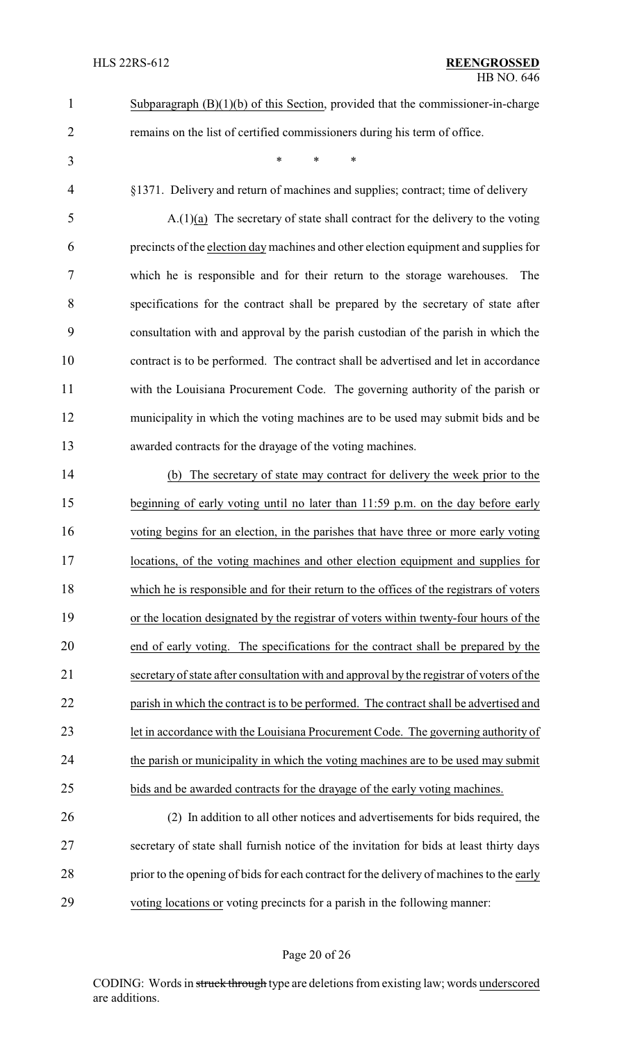- 
- 

remains on the list of certified commissioners during his term of office.

\* \* \*

Subparagraph (B)(1)(b) of this Section, provided that the commissioner-in-charge

§1371. Delivery and return of machines and supplies; contract; time of delivery

 A.(1)(a) The secretary of state shall contract for the delivery to the voting precincts of the election day machines and other election equipment and supplies for which he is responsible and for their return to the storage warehouses. The specifications for the contract shall be prepared by the secretary of state after consultation with and approval by the parish custodian of the parish in which the contract is to be performed. The contract shall be advertised and let in accordance with the Louisiana Procurement Code. The governing authority of the parish or municipality in which the voting machines are to be used may submit bids and be awarded contracts for the drayage of the voting machines.

 (b) The secretary of state may contract for delivery the week prior to the beginning of early voting until no later than 11:59 p.m. on the day before early voting begins for an election, in the parishes that have three or more early voting locations, of the voting machines and other election equipment and supplies for which he is responsible and for their return to the offices of the registrars of voters or the location designated by the registrar of voters within twenty-four hours of the end of early voting. The specifications for the contract shall be prepared by the secretary of state after consultation with and approval by the registrar of voters of the 22 parish in which the contract is to be performed. The contract shall be advertised and let in accordance with the Louisiana Procurement Code. The governing authority of the parish or municipality in which the voting machines are to be used may submit bids and be awarded contracts for the drayage of the early voting machines.

 (2) In addition to all other notices and advertisements for bids required, the secretary of state shall furnish notice of the invitation for bids at least thirty days 28 prior to the opening of bids for each contract for the delivery of machines to the early voting locations or voting precincts for a parish in the following manner:

#### Page 20 of 26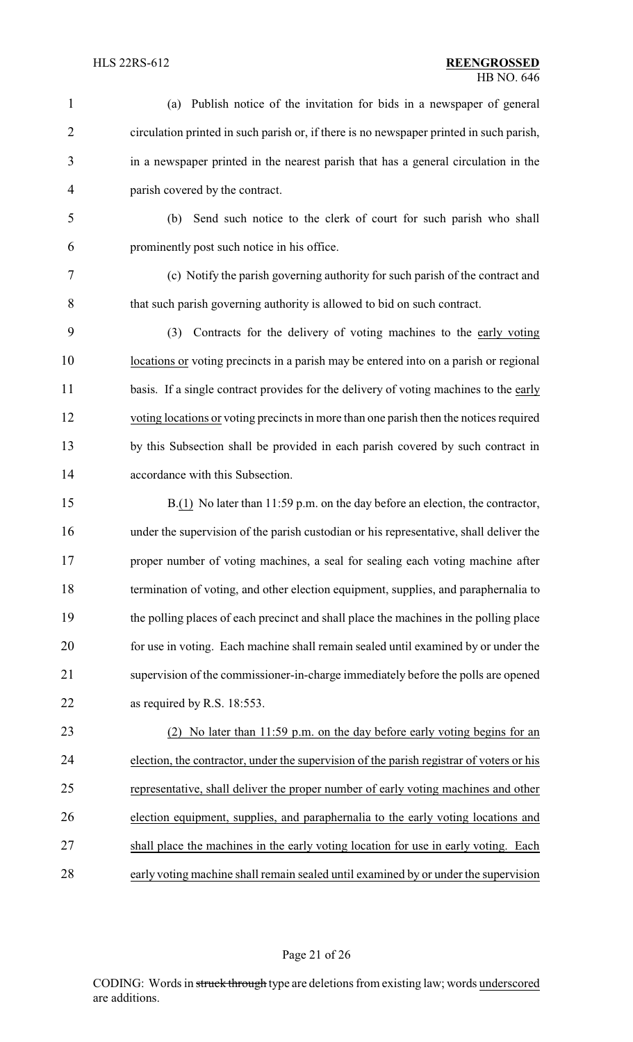| $\mathbf{1}$   | Publish notice of the invitation for bids in a newspaper of general<br>(a)               |
|----------------|------------------------------------------------------------------------------------------|
| $\overline{2}$ | circulation printed in such parish or, if there is no newspaper printed in such parish,  |
| 3              | in a newspaper printed in the nearest parish that has a general circulation in the       |
| $\overline{4}$ | parish covered by the contract.                                                          |
| 5              | Send such notice to the clerk of court for such parish who shall<br>(b)                  |
| 6              | prominently post such notice in his office.                                              |
| 7              | (c) Notify the parish governing authority for such parish of the contract and            |
| 8              | that such parish governing authority is allowed to bid on such contract.                 |
| 9              | Contracts for the delivery of voting machines to the early voting<br>(3)                 |
| 10             | locations or voting precincts in a parish may be entered into on a parish or regional    |
| 11             | basis. If a single contract provides for the delivery of voting machines to the early    |
| 12             | voting locations or voting precincts in more than one parish then the notices required   |
| 13             | by this Subsection shall be provided in each parish covered by such contract in          |
| 14             | accordance with this Subsection.                                                         |
| 15             | $B(1)$ No later than 11:59 p.m. on the day before an election, the contractor,           |
| 16             | under the supervision of the parish custodian or his representative, shall deliver the   |
| 17             | proper number of voting machines, a seal for sealing each voting machine after           |
| 18             | termination of voting, and other election equipment, supplies, and paraphernalia to      |
| 19             | the polling places of each precinct and shall place the machines in the polling place    |
| 20             | for use in voting. Each machine shall remain sealed until examined by or under the       |
| 21             | supervision of the commissioner-in-charge immediately before the polls are opened        |
| 22             | as required by R.S. 18:553.                                                              |
| 23             | (2) No later than 11:59 p.m. on the day before early voting begins for an                |
| 24             | election, the contractor, under the supervision of the parish registrar of voters or his |
| 25             | representative, shall deliver the proper number of early voting machines and other       |
| 26             | election equipment, supplies, and paraphernalia to the early voting locations and        |
| 27             | shall place the machines in the early voting location for use in early voting. Each      |
| 28             | early voting machine shall remain sealed until examined by or under the supervision      |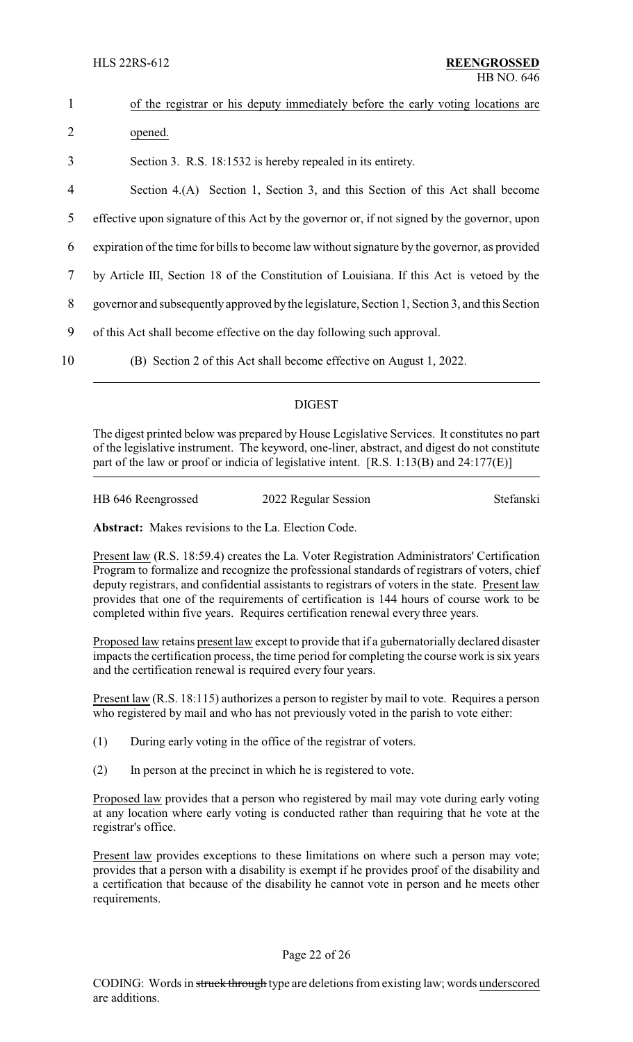| $\mathbf{1}$   | of the registrar or his deputy immediately before the early voting locations are              |
|----------------|-----------------------------------------------------------------------------------------------|
| $\overline{2}$ | opened.                                                                                       |
| 3              | Section 3. R.S. 18:1532 is hereby repealed in its entirety.                                   |
| 4              | Section 4.(A) Section 1, Section 3, and this Section of this Act shall become                 |
| 5              | effective upon signature of this Act by the governor or, if not signed by the governor, upon  |
| 6              | expiration of the time for bills to become law without signature by the governor, as provided |
| 7              | by Article III, Section 18 of the Constitution of Louisiana. If this Act is vetoed by the     |
| 8              | governor and subsequently approved by the legislature, Section 1, Section 3, and this Section |
| 9              | of this Act shall become effective on the day following such approval.                        |
| 10             | (B) Section 2 of this Act shall become effective on August 1, 2022.                           |

### DIGEST

The digest printed below was prepared by House Legislative Services. It constitutes no part of the legislative instrument. The keyword, one-liner, abstract, and digest do not constitute part of the law or proof or indicia of legislative intent. [R.S. 1:13(B) and 24:177(E)]

| HB 646 Reengrossed | 2022 Regular Session | Stefanski |
|--------------------|----------------------|-----------|
|                    |                      |           |

**Abstract:** Makes revisions to the La. Election Code.

Present law (R.S. 18:59.4) creates the La. Voter Registration Administrators' Certification Program to formalize and recognize the professional standards of registrars of voters, chief deputy registrars, and confidential assistants to registrars of voters in the state. Present law provides that one of the requirements of certification is 144 hours of course work to be completed within five years. Requires certification renewal every three years.

Proposed law retains present law except to provide that if a gubernatorially declared disaster impacts the certification process, the time period for completing the course work is six years and the certification renewal is required every four years.

Present law (R.S. 18:115) authorizes a person to register by mail to vote. Requires a person who registered by mail and who has not previously voted in the parish to vote either:

- (1) During early voting in the office of the registrar of voters.
- (2) In person at the precinct in which he is registered to vote.

Proposed law provides that a person who registered by mail may vote during early voting at any location where early voting is conducted rather than requiring that he vote at the registrar's office.

Present law provides exceptions to these limitations on where such a person may vote; provides that a person with a disability is exempt if he provides proof of the disability and a certification that because of the disability he cannot vote in person and he meets other requirements.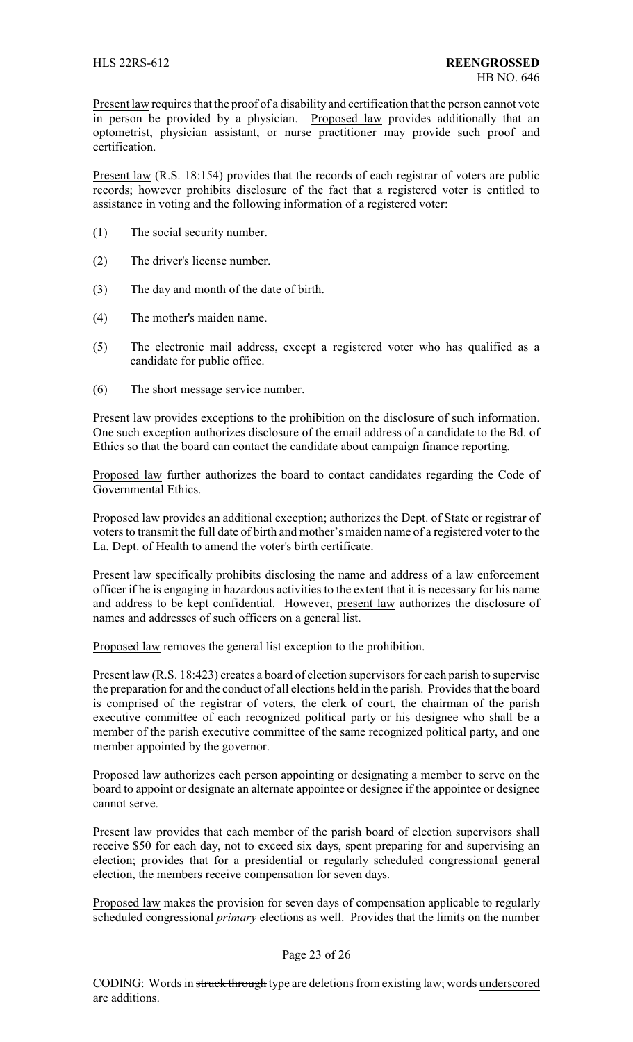Present law requires that the proof of a disability and certification that the person cannot vote in person be provided by a physician. Proposed law provides additionally that an optometrist, physician assistant, or nurse practitioner may provide such proof and certification.

Present law (R.S. 18:154) provides that the records of each registrar of voters are public records; however prohibits disclosure of the fact that a registered voter is entitled to assistance in voting and the following information of a registered voter:

- (1) The social security number.
- (2) The driver's license number.
- (3) The day and month of the date of birth.
- (4) The mother's maiden name.
- (5) The electronic mail address, except a registered voter who has qualified as a candidate for public office.
- (6) The short message service number.

Present law provides exceptions to the prohibition on the disclosure of such information. One such exception authorizes disclosure of the email address of a candidate to the Bd. of Ethics so that the board can contact the candidate about campaign finance reporting.

Proposed law further authorizes the board to contact candidates regarding the Code of Governmental Ethics.

Proposed law provides an additional exception; authorizes the Dept. of State or registrar of voters to transmit the full date of birth and mother's maiden name of a registered voter to the La. Dept. of Health to amend the voter's birth certificate.

Present law specifically prohibits disclosing the name and address of a law enforcement officer if he is engaging in hazardous activities to the extent that it is necessary for his name and address to be kept confidential. However, present law authorizes the disclosure of names and addresses of such officers on a general list.

Proposed law removes the general list exception to the prohibition.

Present law (R.S. 18:423) creates a board of election supervisors for each parish to supervise the preparation for and the conduct of all elections held in the parish. Provides that the board is comprised of the registrar of voters, the clerk of court, the chairman of the parish executive committee of each recognized political party or his designee who shall be a member of the parish executive committee of the same recognized political party, and one member appointed by the governor.

Proposed law authorizes each person appointing or designating a member to serve on the board to appoint or designate an alternate appointee or designee if the appointee or designee cannot serve.

Present law provides that each member of the parish board of election supervisors shall receive \$50 for each day, not to exceed six days, spent preparing for and supervising an election; provides that for a presidential or regularly scheduled congressional general election, the members receive compensation for seven days.

Proposed law makes the provision for seven days of compensation applicable to regularly scheduled congressional *primary* elections as well. Provides that the limits on the number

#### Page 23 of 26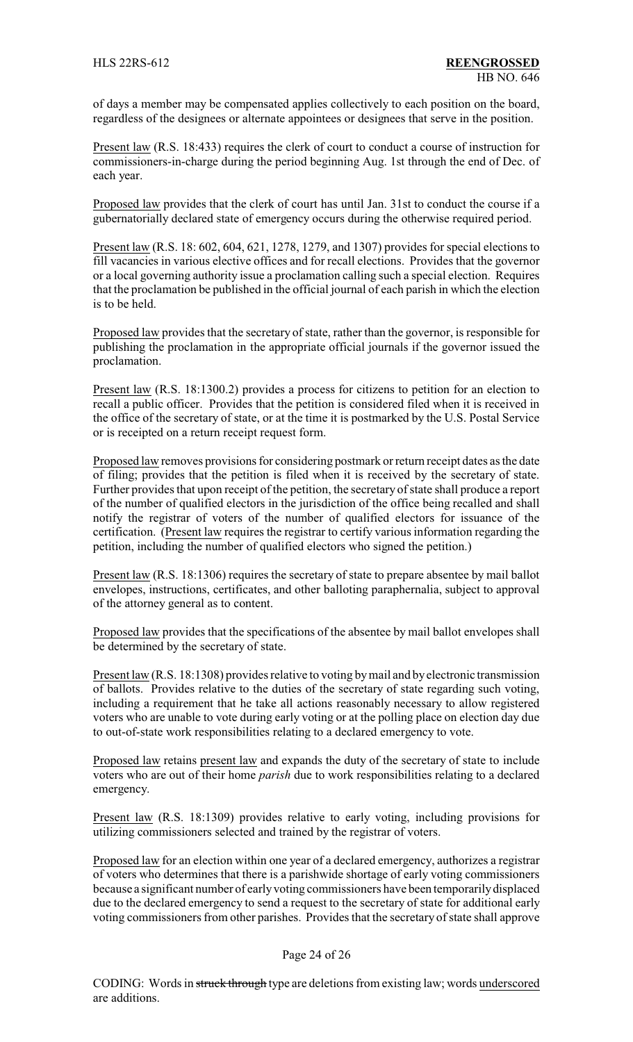of days a member may be compensated applies collectively to each position on the board, regardless of the designees or alternate appointees or designees that serve in the position.

Present law (R.S. 18:433) requires the clerk of court to conduct a course of instruction for commissioners-in-charge during the period beginning Aug. 1st through the end of Dec. of each year.

Proposed law provides that the clerk of court has until Jan. 31st to conduct the course if a gubernatorially declared state of emergency occurs during the otherwise required period.

Present law (R.S. 18: 602, 604, 621, 1278, 1279, and 1307) provides for special elections to fill vacancies in various elective offices and for recall elections. Provides that the governor or a local governing authority issue a proclamation calling such a special election. Requires that the proclamation be published in the official journal of each parish in which the election is to be held.

Proposed law provides that the secretary of state, rather than the governor, is responsible for publishing the proclamation in the appropriate official journals if the governor issued the proclamation.

Present law (R.S. 18:1300.2) provides a process for citizens to petition for an election to recall a public officer. Provides that the petition is considered filed when it is received in the office of the secretary of state, or at the time it is postmarked by the U.S. Postal Service or is receipted on a return receipt request form.

Proposed law removes provisions for considering postmark or return receipt dates as the date of filing; provides that the petition is filed when it is received by the secretary of state. Further provides that upon receipt of the petition, the secretary of state shall produce a report of the number of qualified electors in the jurisdiction of the office being recalled and shall notify the registrar of voters of the number of qualified electors for issuance of the certification. (Present law requires the registrar to certify various information regarding the petition, including the number of qualified electors who signed the petition.)

Present law (R.S. 18:1306) requires the secretary of state to prepare absentee by mail ballot envelopes, instructions, certificates, and other balloting paraphernalia, subject to approval of the attorney general as to content.

Proposed law provides that the specifications of the absentee by mail ballot envelopes shall be determined by the secretary of state.

Present law (R.S. 18:1308) provides relative to voting by mail and by electronic transmission of ballots. Provides relative to the duties of the secretary of state regarding such voting, including a requirement that he take all actions reasonably necessary to allow registered voters who are unable to vote during early voting or at the polling place on election day due to out-of-state work responsibilities relating to a declared emergency to vote.

Proposed law retains present law and expands the duty of the secretary of state to include voters who are out of their home *parish* due to work responsibilities relating to a declared emergency.

Present law (R.S. 18:1309) provides relative to early voting, including provisions for utilizing commissioners selected and trained by the registrar of voters.

Proposed law for an election within one year of a declared emergency, authorizes a registrar of voters who determines that there is a parishwide shortage of early voting commissioners because a significant number of earlyvoting commissioners have been temporarilydisplaced due to the declared emergency to send a request to the secretary of state for additional early voting commissioners from other parishes. Provides that the secretary of state shall approve

#### Page 24 of 26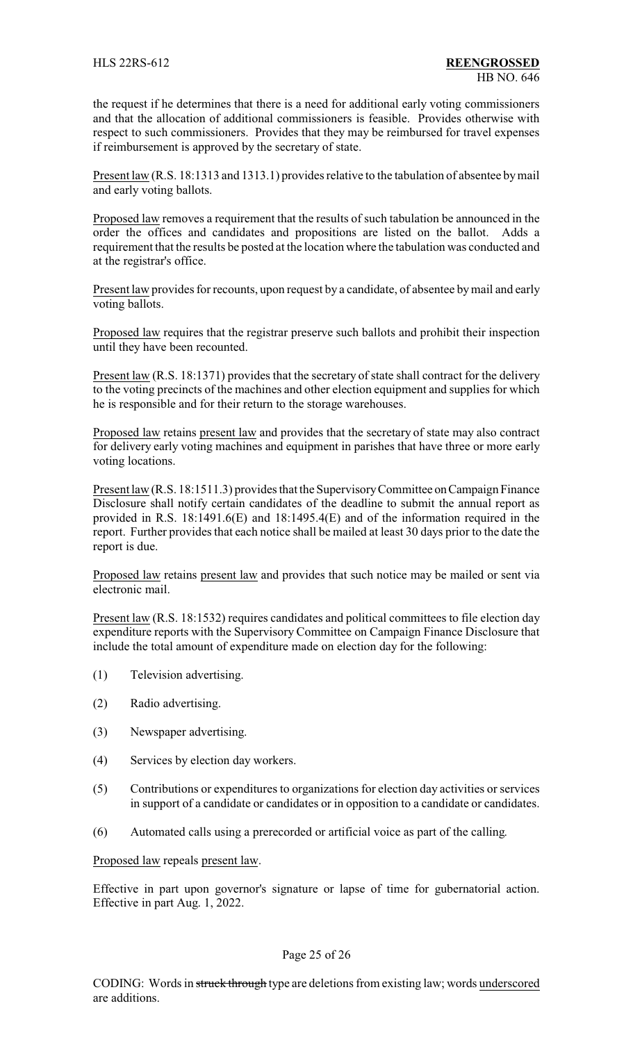the request if he determines that there is a need for additional early voting commissioners and that the allocation of additional commissioners is feasible. Provides otherwise with respect to such commissioners. Provides that they may be reimbursed for travel expenses if reimbursement is approved by the secretary of state.

Present law (R.S. 18:1313 and 1313.1) provides relative to the tabulation of absentee by mail and early voting ballots.

Proposed law removes a requirement that the results of such tabulation be announced in the order the offices and candidates and propositions are listed on the ballot. Adds a requirement that the results be posted at the location where the tabulation was conducted and at the registrar's office.

Present law provides for recounts, upon request by a candidate, of absentee bymail and early voting ballots.

Proposed law requires that the registrar preserve such ballots and prohibit their inspection until they have been recounted.

Present law (R.S. 18:1371) provides that the secretary of state shall contract for the delivery to the voting precincts of the machines and other election equipment and supplies for which he is responsible and for their return to the storage warehouses.

Proposed law retains present law and provides that the secretary of state may also contract for delivery early voting machines and equipment in parishes that have three or more early voting locations.

Present law (R.S. 18:1511.3) provides that the Supervisory Committee on Campaign Finance Disclosure shall notify certain candidates of the deadline to submit the annual report as provided in R.S. 18:1491.6(E) and 18:1495.4(E) and of the information required in the report. Further provides that each notice shall be mailed at least 30 days prior to the date the report is due.

Proposed law retains present law and provides that such notice may be mailed or sent via electronic mail.

Present law (R.S. 18:1532) requires candidates and political committees to file election day expenditure reports with the Supervisory Committee on Campaign Finance Disclosure that include the total amount of expenditure made on election day for the following:

- (1) Television advertising.
- (2) Radio advertising.
- (3) Newspaper advertising.
- (4) Services by election day workers.
- (5) Contributions or expenditures to organizations for election day activities or services in support of a candidate or candidates or in opposition to a candidate or candidates.
- (6) Automated calls using a prerecorded or artificial voice as part of the calling.

Proposed law repeals present law.

Effective in part upon governor's signature or lapse of time for gubernatorial action. Effective in part Aug. 1, 2022.